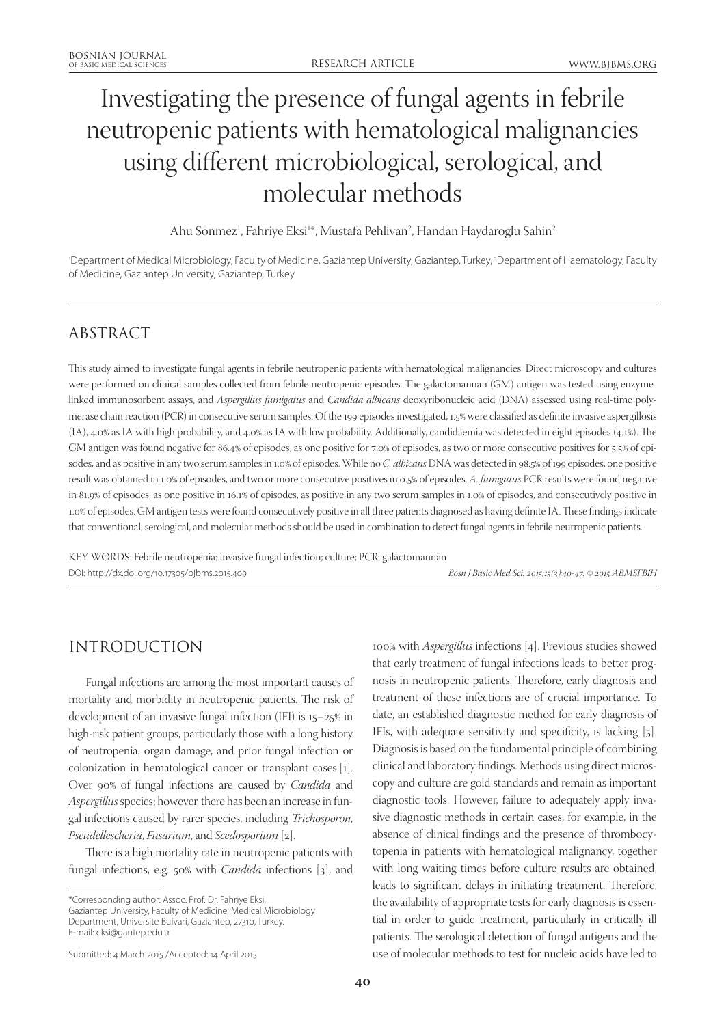# Investigating the presence of fungal agents in febrile neutropenic patients with hematological malignancies using different microbiological, serological, and molecular methods

Ahu Sönmez<sup>1</sup>, Fahriye Eksi<sup>1</sup>\*, Mustafa Pehlivan<sup>2</sup>, Handan Haydaroglu Sahin<sup>2</sup>

'Department of Medical Microbiology, Faculty of Medicine, Gaziantep University, Gaziantep, Turkey, <sup>2</sup>Department of Haematology, Faculty of Medicine, Gaziantep University, Gaziantep, Turkey

# ABSTRACT

This study aimed to investigate fungal agents in febrile neutropenic patients with hematological malignancies. Direct microscopy and cultures were performed on clinical samples collected from febrile neutropenic episodes. The galactomannan (GM) antigen was tested using enzymelinked immunosorbent assays, and *Aspergillus fumigatus* and *Candida albicans* deoxyribonucleic acid (DNA) assessed using real-time polymerase chain reaction (PCR) in consecutive serum samples. Of the 199 episodes investigated, 1.5% were classified as definite invasive aspergillosis (IA), 4.0% as IA with high probability, and 4.0% as IA with low probability. Additionally, candidaemia was detected in eight episodes (4.1%). The GM antigen was found negative for 86.4% of episodes, as one positive for 7.0% of episodes, as two or more consecutive positives for 5.5% of episodes, and as positive in any two serum samples in 1.0% of episodes. While no *C. albicans* DNA was detected in 98.5% of 199 episodes, one positive result was obtained in 1.0% of episodes, and two or more consecutive positives in 0.5% of episodes. *A. fumigatus* PCR results were found negative in 81.9% of episodes, as one positive in 16.1% of episodes, as positive in any two serum samples in 1.0% of episodes, and consecutively positive in 1.0% of episodes. GM antigen tests were found consecutively positive in all three patients diagnosed as having definite IA. These findings indicate that conventional, serological, and molecular methods should be used in combination to detect fungal agents in febrile neutropenic patients.

KEY WORDS: Febrile neutropenia; invasive fungal infection; culture; PCR; galactomannan DOI: http://dx.doi.org/10.17305/bjbms.2015.409 *Bosn J Basic Med Sci. 2015;15(3):40-47. © 2015 ABMSFBIH*

# INTRODUCTION

Fungal infections are among the most important causes of mortality and morbidity in neutropenic patients. The risk of development of an invasive fungal infection (IFI) is 15–25% in high-risk patient groups, particularly those with a long history of neutropenia, organ damage, and prior fungal infection or colonization in hematological cancer or transplant cases [1]. Over 90% of fungal infections are caused by *Candida* and *Aspergillus* species; however, there has been an increase in fungal infections caused by rarer species, including *Trichosporon*, *Pseudellescheria*, *Fusarium*, and *Scedosporium* [2].

There is a high mortality rate in neutropenic patients with fungal infections, e.g. 50% with *Candida* infections [3], and

Gaziantep University, Faculty of Medicine, Medical Microbiology Department, Universite Bulvari, Gaziantep, 27310, Turkey. E-mail: eksi@gantep.edu.tr

Submitted: 4 March 2015 /Accepted: 14 April 2015

100% with *Aspergillus* infections [4]. Previous studies showed that early treatment of fungal infections leads to better prognosis in neutropenic patients. Therefore, early diagnosis and treatment of these infections are of crucial importance. To date, an established diagnostic method for early diagnosis of IFIs, with adequate sensitivity and specificity, is lacking [5]. Diagnosis is based on the fundamental principle of combining clinical and laboratory findings. Methods using direct microscopy and culture are gold standards and remain as important diagnostic tools. However, failure to adequately apply invasive diagnostic methods in certain cases, for example, in the absence of clinical findings and the presence of thrombocytopenia in patients with hematological malignancy, together with long waiting times before culture results are obtained, leads to significant delays in initiating treatment. Therefore, the availability of appropriate tests for early diagnosis is essential in order to guide treatment, particularly in critically ill patients. The serological detection of fungal antigens and the use of molecular methods to test for nucleic acids have led to

<sup>\*</sup>Corresponding author: Assoc. Prof. Dr. Fahriye Eksi,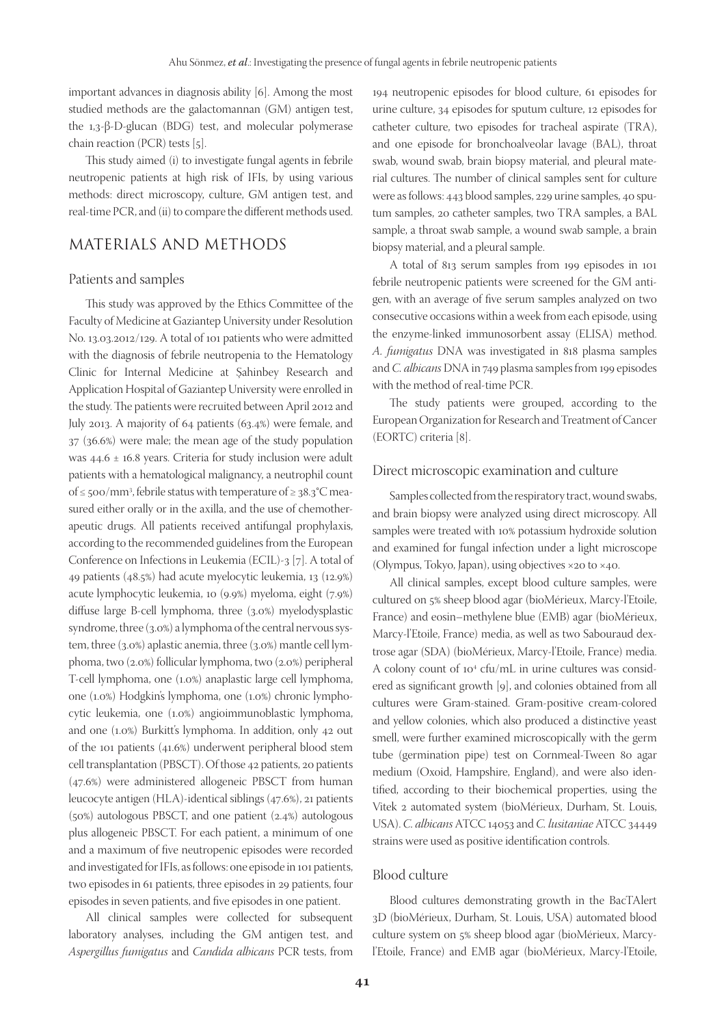important advances in diagnosis ability [6]. Among the most studied methods are the galactomannan (GM) antigen test, the 1,3-β-D-glucan (BDG) test, and molecular polymerase chain reaction (PCR) tests [5].

This study aimed (i) to investigate fungal agents in febrile neutropenic patients at high risk of IFIs, by using various methods: direct microscopy, culture, GM antigen test, and real-time PCR, and (ii) to compare the different methods used.

# MATERIALS AND METHODS

#### Patients and samples

This study was approved by the Ethics Committee of the Faculty of Medicine at Gaziantep University under Resolution No. 13.03.2012/129. A total of 101 patients who were admitted with the diagnosis of febrile neutropenia to the Hematology Clinic for Internal Medicine at Şahinbey Research and Application Hospital of Gaziantep University were enrolled in the study. The patients were recruited between April 2012 and July 2013. A majority of 64 patients (63.4%) were female, and 37 (36.6%) were male; the mean age of the study population was 44.6 ± 16.8 years. Criteria for study inclusion were adult patients with a hematological malignancy, a neutrophil count of ≤ 500/mm<sup>3</sup>, febrile status with temperature of ≥ 38.3°C measured either orally or in the axilla, and the use of chemotherapeutic drugs. All patients received antifungal prophylaxis, according to the recommended guidelines from the European Conference on Infections in Leukemia (ECIL)-3 [7]. A total of 49 patients (48.5%) had acute myelocytic leukemia, 13 (12.9%) acute lymphocytic leukemia, 10 (9.9%) myeloma, eight (7.9%) diffuse large B-cell lymphoma, three (3.0%) myelodysplastic syndrome, three (3.0%) a lymphoma of the central nervous system, three (3.0%) aplastic anemia, three (3.0%) mantle cell lymphoma, two (2.0%) follicular lymphoma, two (2.0%) peripheral T-cell lymphoma, one (1.0%) anaplastic large cell lymphoma, one (1.0%) Hodgkin's lymphoma, one (1.0%) chronic lymphocytic leukemia, one (1.0%) angioimmunoblastic lymphoma, and one (1.0%) Burkitt's lymphoma. In addition, only 42 out of the 101 patients (41.6%) underwent peripheral blood stem cell transplantation (PBSCT). Of those 42 patients, 20 patients (47.6%) were administered allogeneic PBSCT from human leucocyte antigen (HLA)-identical siblings (47.6%), 21 patients (50%) autologous PBSCT, and one patient (2.4%) autologous plus allogeneic PBSCT. For each patient, a minimum of one and a maximum of five neutropenic episodes were recorded and investigated for IFIs, as follows: one episode in 101 patients, two episodes in 61 patients, three episodes in 29 patients, four episodes in seven patients, and five episodes in one patient.

All clinical samples were collected for subsequent laboratory analyses, including the GM antigen test, and *Aspergillus fumigatus* and *Candida albicans* PCR tests, from 194 neutropenic episodes for blood culture, 61 episodes for urine culture, 34 episodes for sputum culture, 12 episodes for catheter culture, two episodes for tracheal aspirate (TRA), and one episode for bronchoalveolar lavage (BAL), throat swab, wound swab, brain biopsy material, and pleural material cultures. The number of clinical samples sent for culture were as follows: 443 blood samples, 229 urine samples, 40 sputum samples, 20 catheter samples, two TRA samples, a BAL sample, a throat swab sample, a wound swab sample, a brain biopsy material, and a pleural sample.

A total of 813 serum samples from 199 episodes in 101 febrile neutropenic patients were screened for the GM antigen, with an average of five serum samples analyzed on two consecutive occasions within a week from each episode, using the enzyme-linked immunosorbent assay (ELISA) method. *A. fumigatus* DNA was investigated in 818 plasma samples and *C. albicans* DNA in 749 plasma samples from 199 episodes with the method of real-time PCR.

The study patients were grouped, according to the European Organization for Research and Treatment of Cancer (EORTC) criteria [8].

#### Direct microscopic examination and culture

Samples collected from the respiratory tract, wound swabs, and brain biopsy were analyzed using direct microscopy. All samples were treated with 10% potassium hydroxide solution and examined for fungal infection under a light microscope (Olympus, Tokyo, Japan), using objectives ×20 to ×40.

All clinical samples, except blood culture samples, were cultured on 5% sheep blood agar (bioMérieux, Marcy-l'Etoile, France) and eosin–methylene blue (EMB) agar (bioMérieux, Marcy-l'Etoile, France) media, as well as two Sabouraud dextrose agar (SDA) (bioMérieux, Marcy-l'Etoile, France) media. A colony count of 10<sup>4</sup> cfu/mL in urine cultures was considered as significant growth [9], and colonies obtained from all cultures were Gram-stained. Gram-positive cream-colored and yellow colonies, which also produced a distinctive yeast smell, were further examined microscopically with the germ tube (germination pipe) test on Cornmeal-Tween 80 agar medium (Oxoid, Hampshire, England), and were also identified, according to their biochemical properties, using the Vitek 2 automated system (bioMérieux, Durham, St. Louis, USA). *C. albicans* ATCC 14053 and *C. lusitaniae* ATCC 34449 strains were used as positive identification controls.

#### Blood culture

Blood cultures demonstrating growth in the BacTAlert 3D (bioMérieux, Durham, St. Louis, USA) automated blood culture system on 5% sheep blood agar (bioMérieux, Marcyl'Etoile, France) and EMB agar (bioMérieux, Marcy-l'Etoile,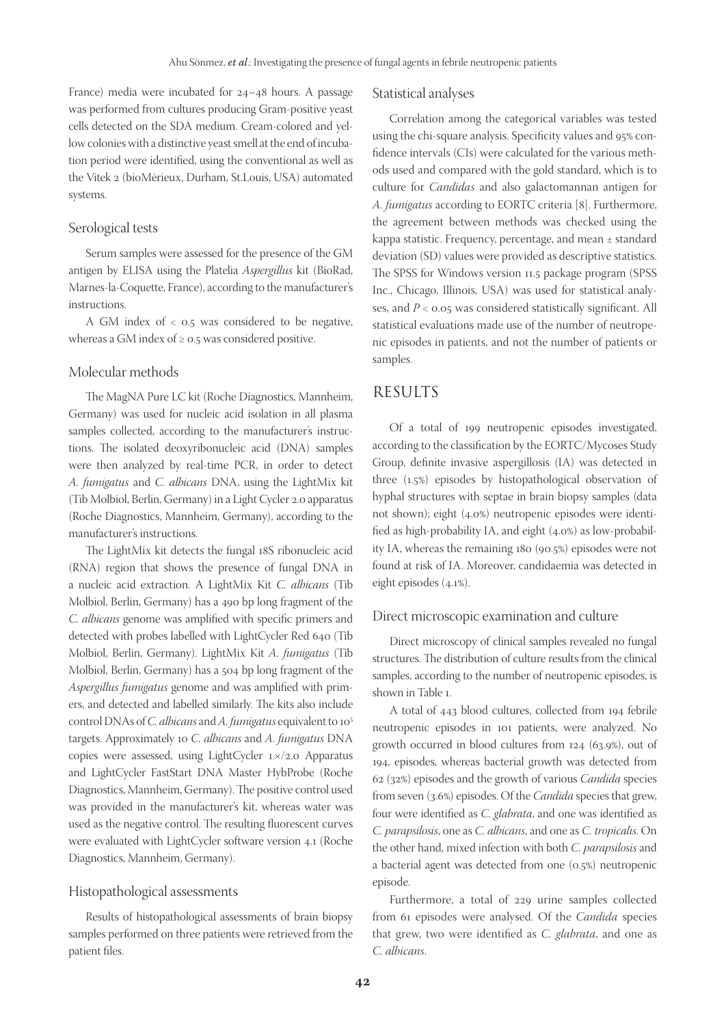France) media were incubated for 24–48 hours. A passage was performed from cultures producing Gram-positive yeast cells detected on the SDA medium. Cream-colored and yellow colonies with a distinctive yeast smell at the end of incubation period were identified, using the conventional as well as the Vitek 2 (bioMérieux, Durham, St.Louis, USA) automated systems.

#### Serological tests

Serum samples were assessed for the presence of the GM antigen by ELISA using the Platelia *Aspergillus* kit (BioRad, Marnes-la-Coquette, France), according to the manufacturer's instructions.

A GM index of < 0.5 was considered to be negative, whereas a GM index of  $\geq$  0.5 was considered positive.

#### Molecular methods

The MagNA Pure LC kit (Roche Diagnostics, Mannheim, Germany) was used for nucleic acid isolation in all plasma samples collected, according to the manufacturer's instructions. The isolated deoxyribonucleic acid (DNA) samples were then analyzed by real-time PCR, in order to detect *A. fumigatus* and *C. albicans* DNA, using the LightMix kit (Tib Molbiol, Berlin, Germany) in a Light Cycler 2.0 apparatus (Roche Diagnostics, Mannheim, Germany), according to the manufacturer's instructions.

The LightMix kit detects the fungal 18S ribonucleic acid (RNA) region that shows the presence of fungal DNA in a nucleic acid extraction. A LightMix Kit *C. albicans* (Tib Molbiol, Berlin, Germany) has a 490 bp long fragment of the *C. albicans* genome was amplified with specific primers and detected with probes labelled with LightCycler Red 640 (Tib Molbiol, Berlin, Germany). LightMix Kit *A. fumigatus* (Tib Molbiol, Berlin, Germany) has a 504 bp long fragment of the *Aspergillus fumigatus* genome and was amplified with primers, and detected and labelled similarly. The kits also include control DNAs of *C. albicans* and *A. fumigatus* equivalent to 105 targets. Approximately 10 *C. albicans* and *A. fumigatus* DNA copies were assessed, using LightCycler 1.×/2.0 Apparatus and LightCycler FastStart DNA Master HybProbe (Roche Diagnostics, Mannheim, Germany). The positive control used was provided in the manufacturer's kit, whereas water was used as the negative control. The resulting fluorescent curves were evaluated with LightCycler software version 4.1 (Roche Diagnostics, Mannheim, Germany).

#### Histopathological assessments

Results of histopathological assessments of brain biopsy samples performed on three patients were retrieved from the patient files.

#### Statistical analyses

Correlation among the categorical variables was tested using the chi-square analysis. Specificity values and 95% confidence intervals (CIs) were calculated for the various methods used and compared with the gold standard, which is to culture for *Candidas* and also galactomannan antigen for *A. fumigatus* according to EORTC criteria [8]. Furthermore, the agreement between methods was checked using the kappa statistic. Frequency, percentage, and mean ± standard deviation (SD) values were provided as descriptive statistics. The SPSS for Windows version 11.5 package program (SPSS Inc., Chicago, Illinois, USA) was used for statistical analyses, and *P* < 0.05 was considered statistically significant. All statistical evaluations made use of the number of neutropenic episodes in patients, and not the number of patients or samples.

# RESULTS

Of a total of 199 neutropenic episodes investigated, according to the classification by the EORTC/Mycoses Study Group, definite invasive aspergillosis (IA) was detected in three (1.5%) episodes by histopathological observation of hyphal structures with septae in brain biopsy samples (data not shown); eight (4.0%) neutropenic episodes were identified as high-probability IA, and eight (4.0%) as low-probability IA, whereas the remaining 180 (90.5%) episodes were not found at risk of IA. Moreover, candidaemia was detected in eight episodes (4.1%).

#### Direct microscopic examination and culture

Direct microscopy of clinical samples revealed no fungal structures. The distribution of culture results from the clinical samples, according to the number of neutropenic episodes, is shown in Table 1.

A total of 443 blood cultures, collected from 194 febrile neutropenic episodes in 101 patients, were analyzed. No growth occurred in blood cultures from 124 (63.9%), out of 194, episodes, whereas bacterial growth was detected from 62 (32%) episodes and the growth of various *Candida* species from seven (3.6%) episodes. Of the *Candida* species that grew, four were identified as *C. glabrata*, and one was identified as *C. parapsilosis*, one as *C. albicans*, and one as *C. tropicalis*. On the other hand, mixed infection with both *C. parapsilosis* and a bacterial agent was detected from one (0.5%) neutropenic episode.

Furthermore, a total of 229 urine samples collected from 61 episodes were analysed. Of the *Candida* species that grew, two were identified as *C. glabrata*, and one as *C. albicans*.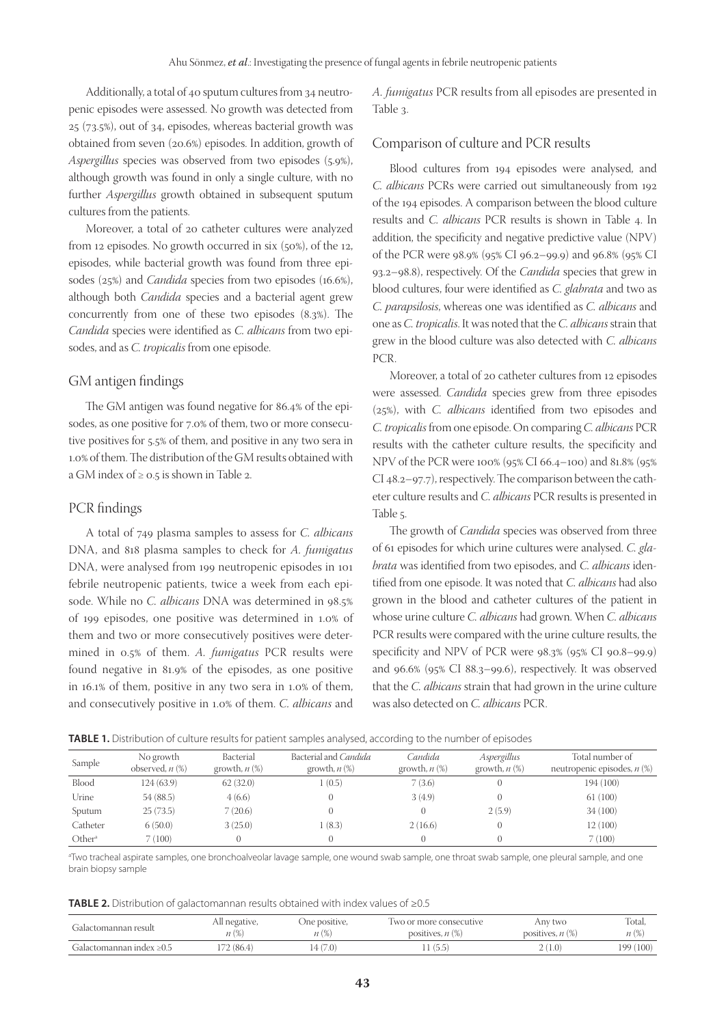Additionally, a total of 40 sputum cultures from 34 neutropenic episodes were assessed. No growth was detected from 25 (73.5%), out of 34, episodes, whereas bacterial growth was obtained from seven (20.6%) episodes. In addition, growth of *Aspergillus* species was observed from two episodes (5.9%), although growth was found in only a single culture, with no further *Aspergillus* growth obtained in subsequent sputum cultures from the patients.

Moreover, a total of 20 catheter cultures were analyzed from 12 episodes. No growth occurred in six (50%), of the 12, episodes, while bacterial growth was found from three episodes (25%) and *Candida* species from two episodes (16.6%), although both *Candida* species and a bacterial agent grew concurrently from one of these two episodes (8.3%). The *Candida* species were identified as *C. albicans* from two episodes, and as *C. tropicalis* from one episode.

#### GM antigen findings

The GM antigen was found negative for 86.4% of the episodes, as one positive for 7.0% of them, two or more consecutive positives for 5.5% of them, and positive in any two sera in 1.0% of them. The distribution of the GM results obtained with a GM index of ≥ 0.5 is shown in Table 2.

#### PCR findings

A total of 749 plasma samples to assess for *C. albicans* DNA, and 818 plasma samples to check for *A. fumigatus* DNA, were analysed from 199 neutropenic episodes in 101 febrile neutropenic patients, twice a week from each episode. While no *C. albicans* DNA was determined in 98.5% of 199 episodes, one positive was determined in 1.0% of them and two or more consecutively positives were determined in 0.5% of them. *A. fumigatus* PCR results were found negative in 81.9% of the episodes, as one positive in 16.1% of them, positive in any two sera in 1.0% of them, and consecutively positive in 1.0% of them. *C. albicans* and

*A. fumigatus* PCR results from all episodes are presented in Table 3.

#### Comparison of culture and PCR results

Blood cultures from 194 episodes were analysed, and *C. albicans* PCRs were carried out simultaneously from 192 of the 194 episodes. A comparison between the blood culture results and *C. albicans* PCR results is shown in Table 4. In addition, the specificity and negative predictive value (NPV) of the PCR were 98.9% (95% CI 96.2–99.9) and 96.8% (95% CI 93.2–98.8), respectively. Of the *Candida* species that grew in blood cultures, four were identified as *C. glabrata* and two as *C. parapsilosis*, whereas one was identified as *C. albicans* and one as *C. tropicalis*. It was noted that the *C. albicans* strain that grew in the blood culture was also detected with *C. albicans* PCR.

Moreover, a total of 20 catheter cultures from 12 episodes were assessed. *Candida* species grew from three episodes (25%), with *C. albicans* identified from two episodes and *C. tropicalis* from one episode. On comparing *C. albicans* PCR results with the catheter culture results, the specificity and NPV of the PCR were 100% (95% CI 66.4–100) and 81.8% (95% CI 48.2–97.7), respectively. The comparison between the catheter culture results and *C. albicans* PCR results is presented in Table 5.

The growth of *Candida* species was observed from three of 61 episodes for which urine cultures were analysed. *C. glabrata* was identified from two episodes, and *C. albicans* identified from one episode. It was noted that *C. albicans* had also grown in the blood and catheter cultures of the patient in whose urine culture *C. albicans* had grown. When *C. albicans* PCR results were compared with the urine culture results, the specificity and NPV of PCR were 98.3% (95% CI 90.8–99.9) and 96.6% (95% CI 88.3–99.6), respectively. It was observed that the *C. albicans* strain that had grown in the urine culture was also detected on *C. albicans* PCR.

| <b>TABLE 1.</b> Distribution of culture results for patient samples analysed, according to the number of episodes |  |  |  |  |
|-------------------------------------------------------------------------------------------------------------------|--|--|--|--|
|-------------------------------------------------------------------------------------------------------------------|--|--|--|--|

| Sample             | No growth<br>observed, $n$ $(\%)$ | Bacterial<br>growth, $n$ $(\%)$ | Bacterial and Candida<br>growth, $n$ $(\%)$ | Candida<br>growth, $n$ $(\%)$ | Aspergillus<br>growth, $n$ $(\%)$ | Total number of<br>neutropenic episodes, $n$ (%) |
|--------------------|-----------------------------------|---------------------------------|---------------------------------------------|-------------------------------|-----------------------------------|--------------------------------------------------|
| Blood              | 124(63.9)                         | 62(32.0)                        | 1(0.5)                                      | 7(3.6)                        |                                   | 194 (100)                                        |
| Urine              | 54(88.5)                          | 4(6.6)                          |                                             | 3(4.9)                        |                                   | 61(100)                                          |
| Sputum             | 25(73.5)                          | 7(20.6)                         |                                             |                               | 2(5.9)                            | 34(100)                                          |
| Catheter           | 6(50.0)                           | 3(25.0)                         | l (8.3)                                     | 2(16.6)                       |                                   | 12(100)                                          |
| Other <sup>a</sup> | 7(100)                            |                                 |                                             |                               |                                   | 7(100)                                           |

<sup>a</sup>Two tracheal aspirate samples, one bronchoalveolar lavage sample, one wound swab sample, one throat swab sample, one pleural sample, and one brain biopsy sample

**TABLE 2.** Distribution of galactomannan results obtained with index values of ≥0.5

| Galactomannan result           | All negative, | . One positive, | I wo or more consecutive | Anv two               | Total,        |
|--------------------------------|---------------|-----------------|--------------------------|-----------------------|---------------|
|                                | n (%)         | (0)             | positives, $n$ $(\%)$    | positives, $n$ $(\%)$ | n (%)         |
| Galactomannan index $\geq 0.5$ | 72 (86.4)     | (7.0)           | (5.5)                    | 1.0)                  | 100)<br>199 ( |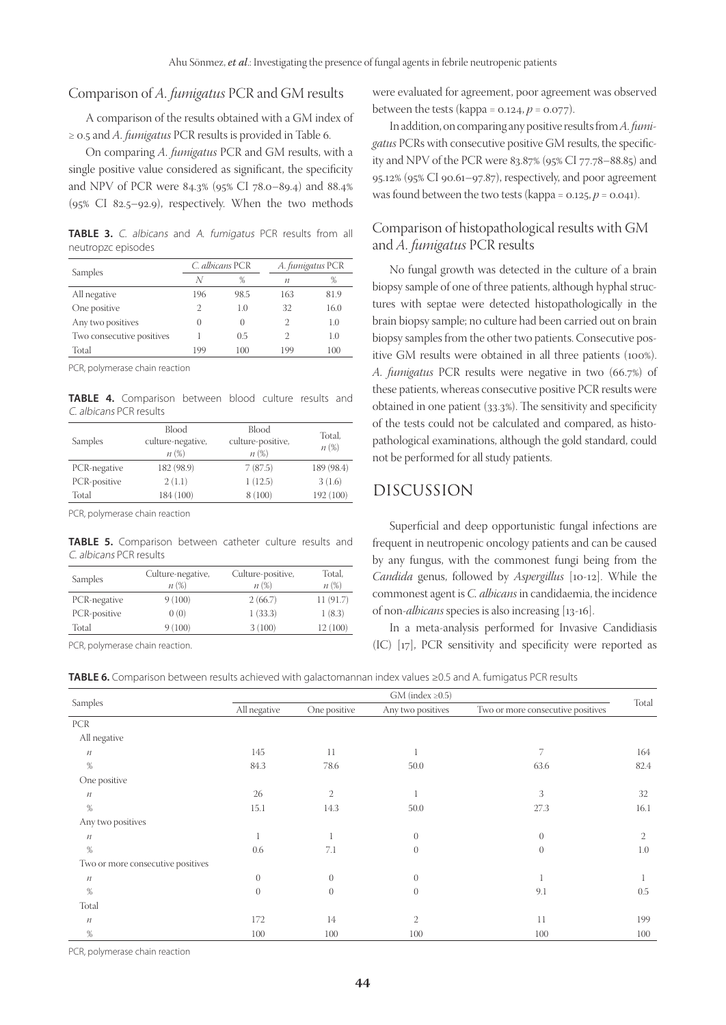## Comparison of *A. fumigatus* PCR and GM results

A comparison of the results obtained with a GM index of ≥ 0.5 and *A. fumigatus* PCR results is provided in Table 6.

On comparing *A. fumigatus* PCR and GM results, with a single positive value considered as significant, the specificity and NPV of PCR were 84.3% (95% CI 78.0–89.4) and 88.4% (95% CI 82.5–92.9), respectively. When the two methods

**TABLE 3.** C. albicans and A. fumigatus PCR results from all neutropzc episodes

|                           | C. albicans PCR  |                  | A. fumigatus PCR |      |
|---------------------------|------------------|------------------|------------------|------|
| Samples                   | N                | %                | п                | %    |
| All negative              | 196              | 98.5             | 163              | 81.9 |
| One positive              | $\overline{2}$   | 1.0              | 32               | 16.0 |
| Any two positives         | $\left( \right)$ | $\left( \right)$ | 2                | 1.0  |
| Two consecutive positives |                  | 0.5              | 2                | 1.0  |
| Total                     | 199              | 100              | 199              | 100  |

PCR, polymerase chain reaction

**TABLE 4.** Comparison between blood culture results and C. albicans PCR results

| <b>Blood</b><br>culture-negative,<br>Samples<br>n(%) |            | <b>Blood</b><br>culture-positive,<br>n(%) | Total,<br>$n(\%)$ |  |
|------------------------------------------------------|------------|-------------------------------------------|-------------------|--|
| PCR-negative                                         | 182 (98.9) | 7(87.5)                                   | 189 (98.4)        |  |
| PCR-positive                                         | 2(1.1)     | 1(12.5)                                   | 3(1.6)            |  |
| Total                                                | 184 (100)  | 8 (100)                                   | 192 (100)         |  |

PCR, polymerase chain reaction

**TABLE 5.** Comparison between catheter culture results and C. albicans PCR results

| Samples      | Culture-negative,<br>n (%) | Culture-positive,<br>n (%) | Total,<br>$n(\%)$ |
|--------------|----------------------------|----------------------------|-------------------|
| PCR-negative | 9(100)                     | 2(66.7)                    | 11 (91.7)         |
| PCR-positive | 0(0)                       | 1(33.3)                    | 1(8.3)            |
| Total        | 9(100)                     | 3(100)                     | 12(100)           |

PCR, polymerase chain reaction.

were evaluated for agreement, poor agreement was observed between the tests (kappa =  $0.124, p = 0.077$ ).

In addition, on comparing any positive results from *A. fumigatus* PCRs with consecutive positive GM results, the specificity and NPV of the PCR were 83.87% (95% CI 77.78–88.85) and 95.12% (95% CI 90.61–97.87), respectively, and poor agreement was found between the two tests (kappa =  $0.125, p = 0.041$ ).

## Comparison of histopathological results with GM and *A. fumigatus* PCR results

No fungal growth was detected in the culture of a brain biopsy sample of one of three patients, although hyphal structures with septae were detected histopathologically in the brain biopsy sample; no culture had been carried out on brain biopsy samples from the other two patients. Consecutive positive GM results were obtained in all three patients (100%). *A. fumigatus* PCR results were negative in two (66.7%) of these patients, whereas consecutive positive PCR results were obtained in one patient (33.3%). The sensitivity and specificity of the tests could not be calculated and compared, as histopathological examinations, although the gold standard, could not be performed for all study patients.

## DISCUSSION

Superficial and deep opportunistic fungal infections are frequent in neutropenic oncology patients and can be caused by any fungus, with the commonest fungi being from the *Candida* genus, followed by *Aspergillus* [10-12]. While the commonest agent is *C. albicans* in candidaemia, the incidence of non-*albicans* species is also increasing [13-16].

In a meta-analysis performed for Invasive Candidiasis (IC) [17], PCR sensitivity and specificity were reported as

**TABLE 6.** Comparison between results achieved with galactomannan index values ≥0.5 and A. fumigatus PCR results

|                                   | $GM$ (index $\geq 0.5$ ) |                |                   |                                   |              |
|-----------------------------------|--------------------------|----------------|-------------------|-----------------------------------|--------------|
| Samples                           | All negative             | One positive   | Any two positives | Two or more consecutive positives | Total        |
| <b>PCR</b>                        |                          |                |                   |                                   |              |
| All negative                      |                          |                |                   |                                   |              |
| $\it n$                           | 145                      | 11             |                   | 7                                 | 164          |
| $\%$                              | 84.3                     | 78.6           | 50.0              | 63.6                              | 82.4         |
| One positive                      |                          |                |                   |                                   |              |
| $\ensuremath{\mathfrak{N}}$       | 26                       | $\mathfrak{2}$ | -1                | 3                                 | 32           |
| $\%$                              | 15.1                     | 14.3           | 50.0              | 27.3                              | 16.1         |
| Any two positives                 |                          |                |                   |                                   |              |
| $\ensuremath{\mathfrak{N}}$       | -1                       | 1              | $\theta$          | $\overline{0}$                    | $\mathbf{2}$ |
| $\%$                              | 0.6                      | 7.1            | $\theta$          | $\overline{0}$                    | 1.0          |
| Two or more consecutive positives |                          |                |                   |                                   |              |
| $\ensuremath{\mathfrak{N}}$       | $\theta$                 | $\overline{0}$ | $\theta$          | $\perp$                           |              |
| $\%$                              | $\theta$                 | $\overline{0}$ | $\theta$          | 9.1                               | 0.5          |
| Total                             |                          |                |                   |                                   |              |
| $\ensuremath{\mathfrak{N}}$       | 172                      | 14             | $\overline{2}$    | 11                                | 199          |
| $\%$                              | 100                      | 100            | 100               | 100                               | 100          |

PCR, polymerase chain reaction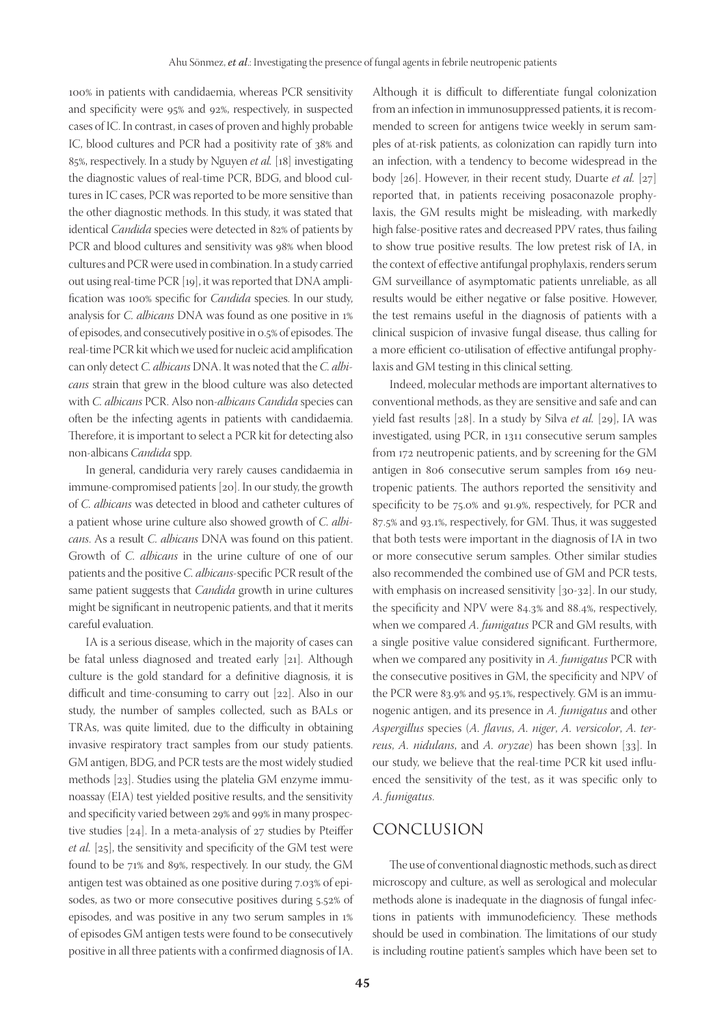100% in patients with candidaemia, whereas PCR sensitivity and specificity were 95% and 92%, respectively, in suspected cases of IC. In contrast, in cases of proven and highly probable IC, blood cultures and PCR had a positivity rate of 38% and 85%, respectively. In a study by Nguyen *et al.* [18] investigating the diagnostic values of real-time PCR, BDG, and blood cultures in IC cases, PCR was reported to be more sensitive than the other diagnostic methods. In this study, it was stated that identical *Candida* species were detected in 82% of patients by PCR and blood cultures and sensitivity was 98% when blood cultures and PCR were used in combination. In a study carried out using real-time PCR [19], it was reported that DNA amplification was 100% specific for *Candida* species. In our study, analysis for *C. albicans* DNA was found as one positive in 1% of episodes, and consecutively positive in 0.5% of episodes. The real-time PCR kit which we used for nucleic acid amplification can only detect *C. albicans* DNA. It was noted that the *C. albicans* strain that grew in the blood culture was also detected with *C. albicans* PCR. Also non-*albicans Candida* species can often be the infecting agents in patients with candidaemia. Therefore, it is important to select a PCR kit for detecting also non-albicans *Candida* spp.

In general, candiduria very rarely causes candidaemia in immune-compromised patients [20]. In our study, the growth of *C. albicans* was detected in blood and catheter cultures of a patient whose urine culture also showed growth of *C. albicans*. As a result *C. albicans* DNA was found on this patient. Growth of *C. albicans* in the urine culture of one of our patients and the positive *C. albicans*-specific PCR result of the same patient suggests that *Candida* growth in urine cultures might be significant in neutropenic patients, and that it merits careful evaluation.

IA is a serious disease, which in the majority of cases can be fatal unless diagnosed and treated early [21]. Although culture is the gold standard for a definitive diagnosis, it is difficult and time-consuming to carry out [22]. Also in our study, the number of samples collected, such as BALs or TRAs, was quite limited, due to the difficulty in obtaining invasive respiratory tract samples from our study patients. GM antigen, BDG, and PCR tests are the most widely studied methods [23]. Studies using the platelia GM enzyme immunoassay (EIA) test yielded positive results, and the sensitivity and specificity varied between 29% and 99% in many prospective studies [24]. In a meta-analysis of 27 studies by Pteiffer *et al.* [25], the sensitivity and specificity of the GM test were found to be 71% and 89%, respectively. In our study, the GM antigen test was obtained as one positive during 7.03% of episodes, as two or more consecutive positives during 5.52% of episodes, and was positive in any two serum samples in 1% of episodes GM antigen tests were found to be consecutively positive in all three patients with a confirmed diagnosis of IA.

Although it is difficult to differentiate fungal colonization from an infection in immunosuppressed patients, it is recommended to screen for antigens twice weekly in serum samples of at-risk patients, as colonization can rapidly turn into an infection, with a tendency to become widespread in the body [26]. However, in their recent study, Duarte *et al.* [27] reported that, in patients receiving posaconazole prophylaxis, the GM results might be misleading, with markedly high false-positive rates and decreased PPV rates, thus failing to show true positive results. The low pretest risk of IA, in the context of effective antifungal prophylaxis, renders serum GM surveillance of asymptomatic patients unreliable, as all results would be either negative or false positive. However, the test remains useful in the diagnosis of patients with a clinical suspicion of invasive fungal disease, thus calling for a more efficient co-utilisation of effective antifungal prophylaxis and GM testing in this clinical setting.

Indeed, molecular methods are important alternatives to conventional methods, as they are sensitive and safe and can yield fast results [28]. In a study by Silva *et al.* [29], IA was investigated, using PCR, in 1311 consecutive serum samples from 172 neutropenic patients, and by screening for the GM antigen in 806 consecutive serum samples from 169 neutropenic patients. The authors reported the sensitivity and specificity to be 75.0% and 91.9%, respectively, for PCR and 87.5% and 93.1%, respectively, for GM. Thus, it was suggested that both tests were important in the diagnosis of IA in two or more consecutive serum samples. Other similar studies also recommended the combined use of GM and PCR tests, with emphasis on increased sensitivity [30-32]. In our study, the specificity and NPV were 84.3% and 88.4%, respectively, when we compared *A. fumigatus* PCR and GM results, with a single positive value considered significant. Furthermore, when we compared any positivity in *A. fumigatus* PCR with the consecutive positives in GM, the specificity and NPV of the PCR were 83.9% and 95.1%, respectively. GM is an immunogenic antigen, and its presence in *A. fumigatus* and other *Aspergillus* species (*A. flavus*, *A. niger*, *A. versicolor*, *A. terreus*, *A. nidulans*, and *A. oryzae*) has been shown [33]. In our study, we believe that the real-time PCR kit used influenced the sensitivity of the test, as it was specific only to *A. fumigatus*.

# CONCLUSION

The use of conventional diagnostic methods, such as direct microscopy and culture, as well as serological and molecular methods alone is inadequate in the diagnosis of fungal infections in patients with immunodeficiency. These methods should be used in combination. The limitations of our study is including routine patient's samples which have been set to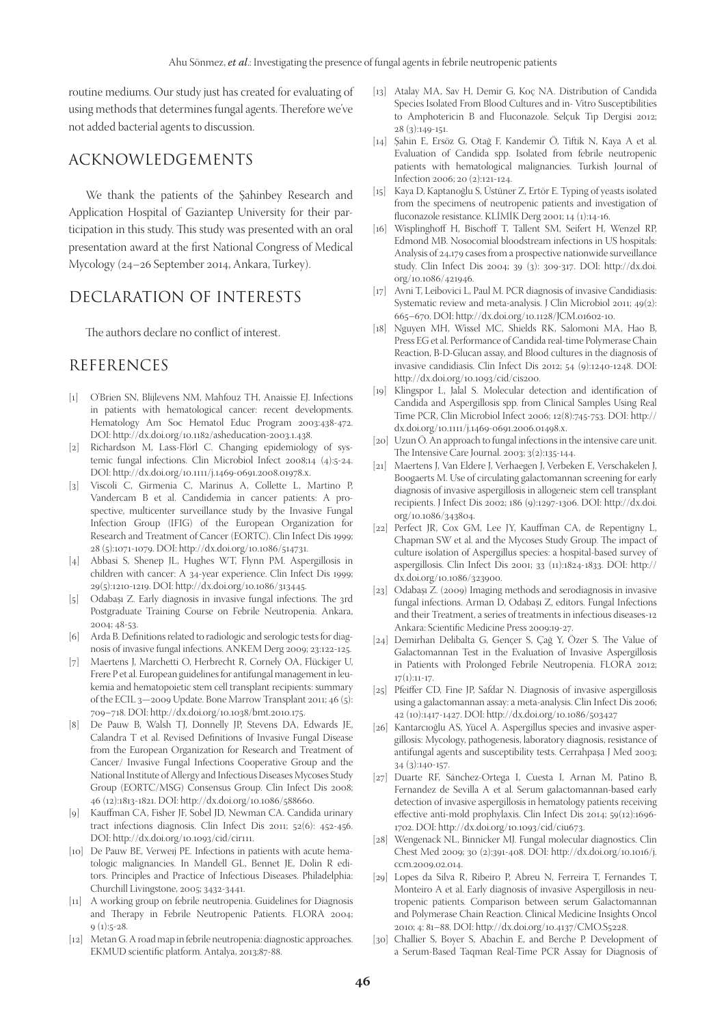routine mediums. Our study just has created for evaluating of using methods that determines fungal agents. Therefore we've not added bacterial agents to discussion.

# ACKNOWLEDGEMENTS

We thank the patients of the Şahinbey Research and Application Hospital of Gaziantep University for their participation in this study. This study was presented with an oral presentation award at the first National Congress of Medical Mycology (24–26 September 2014, Ankara, Turkey).

# DECLARATION OF INTERESTS

The authors declare no conflict of interest.

# REFERENCES

- [1] O'Brien SN, Blijlevens NM, Mahfouz TH, Anaissie EJ. Infections in patients with hematological cancer: recent developments. Hematology Am Soc Hematol Educ Program 2003:438-472. DOI: http://dx.doi.org/10.1182/asheducation-2003.1.438.
- [2] Richardson M, Lass-Flörl C. Changing epidemiology of systemic fungal infections. Clin Microbiol Infect 2008;14 (4):5-24. DOI: http://dx.doi.org/10.1111/j.1469-0691.2008.01978.x.
- [3] Viscoli C, Girmenia C, Marinus A, Collette L, Martino P, Vandercam B et al. Candidemia in cancer patients: A prospective, multicenter surveillance study by the Invasive Fungal Infection Group (IFIG) of the European Organization for Research and Treatment of Cancer (EORTC). Clin Infect Dis 1999; 28 (5):1071-1079. DOI: http://dx.doi.org/10.1086/514731.
- [4] Abbasi S, Shenep JL, Hughes WT, Flynn PM. Aspergillosis in children with cancer: A 34-year experience. Clin Infect Dis 1999; 29(5):1210-1219. DOI: http://dx.doi.org/10.1086/313445.
- [5] Odabaşı Z. Early diagnosis in invasive fungal infections. The 3rd Postgraduate Training Course on Febrile Neutropenia. Ankara, 2004; 48-53.
- [6] Arda B. Definitions related to radiologic and serologic tests for diagnosis of invasive fungal infections. ANKEM Derg 2009; 23:122-125.
- [7] Maertens J, Marchetti O, Herbrecht R, Cornely OA, Flückiger U, Frere P et al. European guidelines for antifungal management in leukemia and hematopoietic stem cell transplant recipients: summary of the ECIL 3—2009 Update. Bone Marrow Transplant 2011; 46 (5): 709–718. DOI: http://dx.doi.org/10.1038/bmt.2010.175.
- [8] De Pauw B, Walsh TJ, Donnelly JP, Stevens DA, Edwards JE, Calandra T et al. Revised Definitions of Invasive Fungal Disease from the European Organization for Research and Treatment of Cancer/ Invasive Fungal Infections Cooperative Group and the National Institute of Allergy and Infectious Diseases Mycoses Study Group (EORTC/MSG) Consensus Group. Clin Infect Dis 2008; 46 (12):1813-1821. DOI: http://dx.doi.org/10.1086/588660.
- [9] Kauffman CA, Fisher JF, Sobel JD, Newman CA. Candida urinary tract infections diagnosis. Clin Infect Dis 2011; 52(6): 452-456. DOI: http://dx.doi.org/10.1093/cid/cir111.
- [10] De Pauw BE, Verweij PE. Infections in patients with acute hematologic malignancies. In Mandell GL, Bennet JE, Dolin R editors. Principles and Practice of Infectious Diseases. Philadelphia: Churchill Livingstone, 2005; 3432-3441.
- [11] A working group on febrile neutropenia. Guidelines for Diagnosis and Therapy in Febrile Neutropenic Patients. FLORA 2004;  $9(1):5-28.$
- [12] Metan G. A road map in febrile neutropenia: diagnostic approaches. EKMUD scientific platform. Antalya, 2013;87-88.
- [13] Atalay MA, Sav H, Demir G, Koç NA. Distribution of Candida Species Isolated From Blood Cultures and in- Vitro Susceptibilities to Amphotericin B and Fluconazole. Selçuk Tıp Dergisi 2012; 28 (3):149-151.
- [14] Şahin E, Ersöz G, Otağ F, Kandemir Ö, Tiftik N, Kaya A et al. Evaluation of Candida spp. Isolated from febrile neutropenic patients with hematological malignancies. Turkish Journal of Infection 2006; 20 (2):121-124.
- [15] Kaya D, Kaptanoğlu S, Üstüner Z, Ertör E. Typing of yeasts isolated from the specimens of neutropenic patients and investigation of fluconazole resistance. KLİMİK Derg 2001; 14 (1):14-16.
- [16] Wisplinghoff H, Bischoff T, Tallent SM, Seifert H, Wenzel RP, Edmond MB. Nosocomial bloodstream infections in US hospitals: Analysis of 24,179 cases from a prospective nationwide surveillance study. Clin Infect Dis 2004; 39 (3): 309-317. DOI: http://dx.doi. org/10.1086/421946.
- [17] Avni T, Leibovici L, Paul M. PCR diagnosis of invasive Candidiasis: Systematic review and meta-analysis. J Clin Microbiol 2011; 49(2): 665–670. DOI: http://dx.doi.org/10.1128/JCM.01602-10.
- [18] Nguyen MH, Wissel MC, Shields RK, Salomoni MA, Hao B, Press EG et al. Performance of Candida real-time Polymerase Chain Reaction, B-D-Glucan assay, and Blood cultures in the diagnosis of invasive candidiasis. Clin Infect Dis 2012; 54 (9):1240-1248. DOI: http://dx.doi.org/10.1093/cid/cis200.
- [19] Klingspor L, Jalal S. Molecular detection and identification of Candida and Aspergillosis spp. from Clinical Samples Using Real Time PCR, Clin Microbiol Infect 2006; 12(8):745-753. DOI: http:// dx.doi.org/10.1111/j.1469-0691.2006.01498.x.
- [20] Uzun Ö. An approach to fungal infections in the intensive care unit. The Intensive Care Journal. 2003; 3(2):135-144.
- [21] Maertens J, Van Eldere J, Verhaegen J, Verbeken E, Verschakelen J, Boogaerts M. Use of circulating galactomannan screening for early diagnosis of invasive aspergillosis in allogeneic stem cell transplant recipients. J Infect Dis 2002; 186 (9):1297-1306. DOI: http://dx.doi. org/10.1086/343804.
- [22] Perfect JR, Cox GM, Lee JY, Kauffman CA, de Repentigny L, Chapman SW et al. and the Mycoses Study Group. The impact of culture isolation of Aspergillus species: a hospital-based survey of aspergillosis. Clin Infect Dis 2001; 33 (11):1824-1833. DOI: http:// dx.doi.org/10.1086/323900.
- [23] Odabaşı Z. (2009) Imaging methods and serodiagnosis in invasive fungal infections. Arman D, Odabaşı Z, editors. Fungal Infections and their Treatment, a series of treatments in infectious diseases-12 Ankara: Scientific Medicine Press 2009;19-27.
- [24] Demirhan Delibalta G, Gençer S, Çağ Y, Özer S. The Value of Galactomannan Test in the Evaluation of Invasive Aspergillosis in Patients with Prolonged Febrile Neutropenia. FLORA 2012; 17(1):11-17.
- [25] Pfeiffer CD, Fine JP, Safdar N. Diagnosis of invasive aspergillosis using a galactomannan assay: a meta-analysis. Clin Infect Dis 2006; 42 (10):1417-1427. DOI: http://dx.doi.org/10.1086/503427
- [26] Kantarcıoğlu AS, Yücel A. Aspergillus species and invasive aspergillosis: Mycology, pathogenesis, laboratory diagnosis, resistance of antifungal agents and susceptibility tests. Cerrahpaşa J Med 2003; 34 (3):140-157.
- [27] Duarte RF, Sánchez-Ortega I, Cuesta I, Arnan M, Patino B, Fernandez de Sevilla A et al. Serum galactomannan-based early detection of invasive aspergillosis in hematology patients receiving effective anti-mold prophylaxis. Clin Infect Dis 2014; 59(12):1696- 1702. DOI: http://dx.doi.org/10.1093/cid/ciu673.
- [28] Wengenack NL, Binnicker MJ. Fungal molecular diagnostics. Clin Chest Med 2009; 30 (2):391-408. DOI: http://dx.doi.org/10.1016/j. ccm.2009.02.014.
- [29] Lopes da Silva R, Ribeiro P, Abreu N, Ferreira T, Fernandes T, Monteiro A et al. Early diagnosis of invasive Aspergillosis in neutropenic patients. Comparison between serum Galactomannan and Polymerase Chain Reaction. Clinical Medicine Insights Oncol 2010; 4: 81–88. DOI: http://dx.doi.org/10.4137/CMO.S5228.
- [30] Challier S, Boyer S, Abachin E, and Berche P. Development of a Serum-Based Taqman Real-Time PCR Assay for Diagnosis of